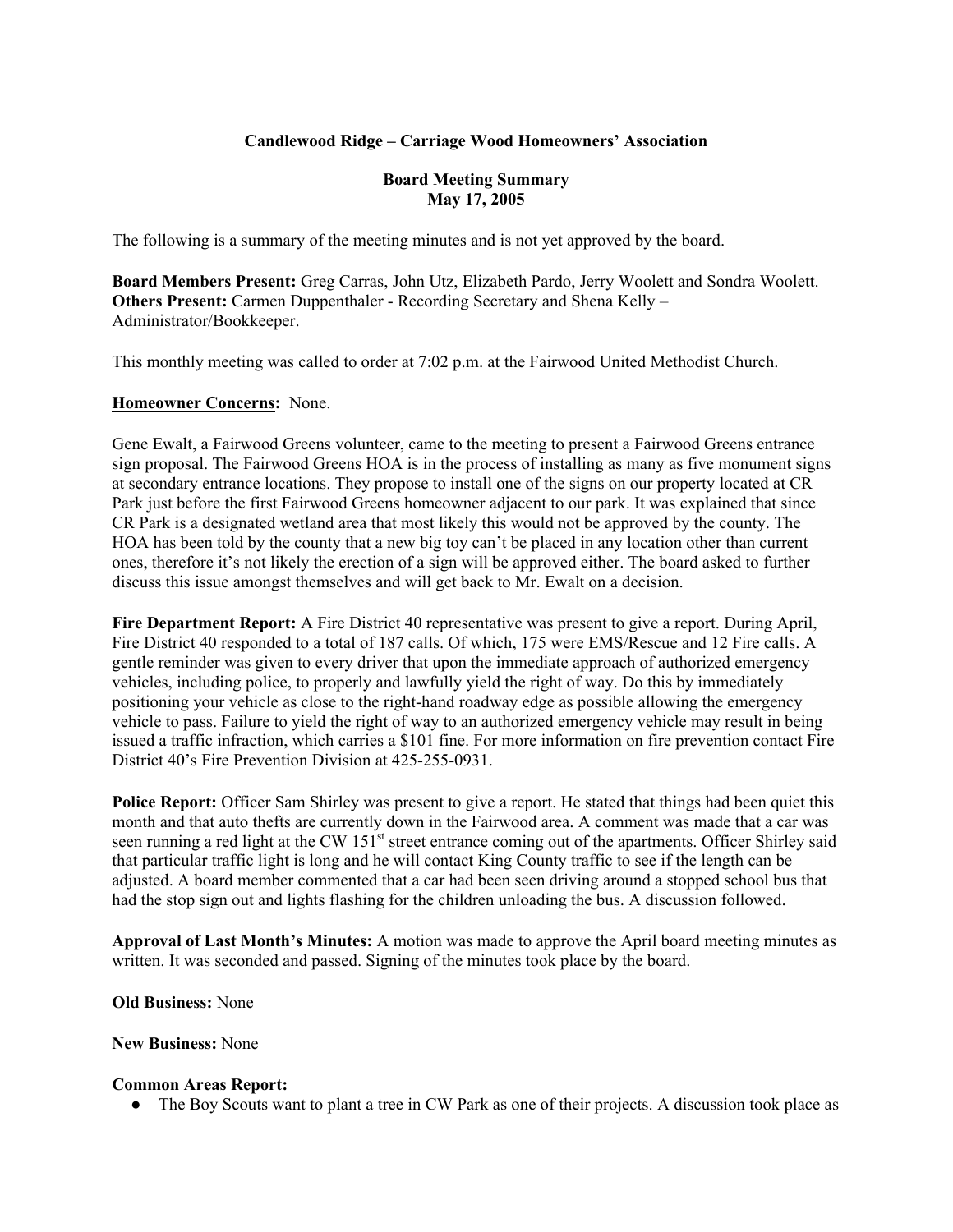## **Candlewood Ridge – Carriage Wood Homeowners' Association**

## **Board Meeting Summary May 17, 2005**

The following is a summary of the meeting minutes and is not yet approved by the board.

**Board Members Present:** Greg Carras, John Utz, Elizabeth Pardo, Jerry Woolett and Sondra Woolett. **Others Present:** Carmen Duppenthaler - Recording Secretary and Shena Kelly – Administrator/Bookkeeper.

This monthly meeting was called to order at 7:02 p.m. at the Fairwood United Methodist Church.

## **Homeowner Concerns:** None.

Gene Ewalt, a Fairwood Greens volunteer, came to the meeting to present a Fairwood Greens entrance sign proposal. The Fairwood Greens HOA is in the process of installing as many as five monument signs at secondary entrance locations. They propose to install one of the signs on our property located at CR Park just before the first Fairwood Greens homeowner adjacent to our park. It was explained that since CR Park is a designated wetland area that most likely this would not be approved by the county. The HOA has been told by the county that a new big toy can't be placed in any location other than current ones, therefore it's not likely the erection of a sign will be approved either. The board asked to further discuss this issue amongst themselves and will get back to Mr. Ewalt on a decision.

**Fire Department Report:** A Fire District 40 representative was present to give a report. During April, Fire District 40 responded to a total of 187 calls. Of which, 175 were EMS/Rescue and 12 Fire calls. A gentle reminder was given to every driver that upon the immediate approach of authorized emergency vehicles, including police, to properly and lawfully yield the right of way. Do this by immediately positioning your vehicle as close to the right-hand roadway edge as possible allowing the emergency vehicle to pass. Failure to yield the right of way to an authorized emergency vehicle may result in being issued a traffic infraction, which carries a \$101 fine. For more information on fire prevention contact Fire District 40's Fire Prevention Division at 425-255-0931.

**Police Report:** Officer Sam Shirley was present to give a report. He stated that things had been quiet this month and that auto thefts are currently down in the Fairwood area. A comment was made that a car was seen running a red light at the CW 151<sup>st</sup> street entrance coming out of the apartments. Officer Shirley said that particular traffic light is long and he will contact King County traffic to see if the length can be adjusted. A board member commented that a car had been seen driving around a stopped school bus that had the stop sign out and lights flashing for the children unloading the bus. A discussion followed.

**Approval of Last Month's Minutes:** A motion was made to approve the April board meeting minutes as written. It was seconded and passed. Signing of the minutes took place by the board.

## **Old Business:** None

## **New Business:** None

## **Common Areas Report:**

• The Boy Scouts want to plant a tree in CW Park as one of their projects. A discussion took place as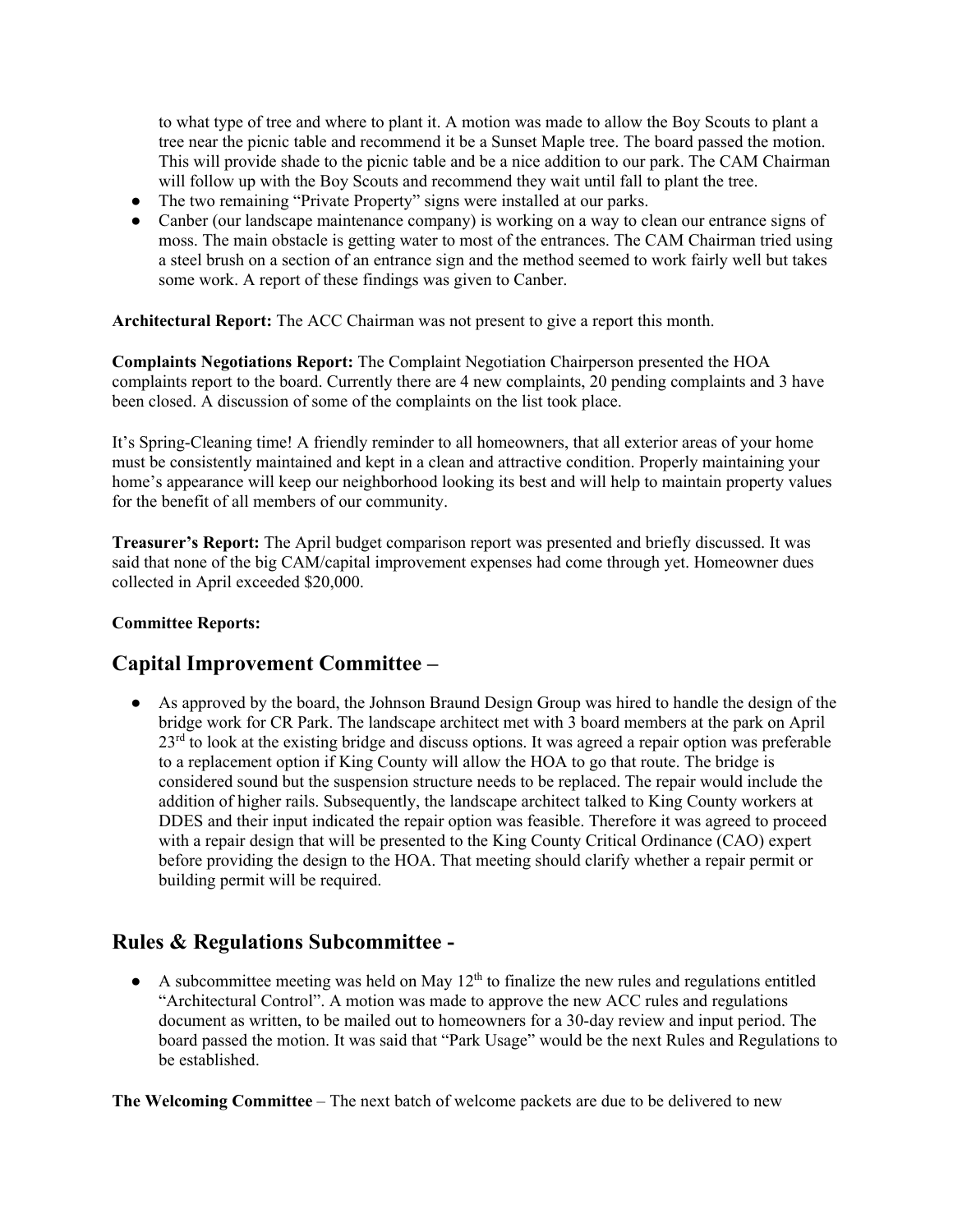to what type of tree and where to plant it. A motion was made to allow the Boy Scouts to plant a tree near the picnic table and recommend it be a Sunset Maple tree. The board passed the motion. This will provide shade to the picnic table and be a nice addition to our park. The CAM Chairman will follow up with the Boy Scouts and recommend they wait until fall to plant the tree.

- The two remaining "Private Property" signs were installed at our parks.
- Canber (our landscape maintenance company) is working on a way to clean our entrance signs of moss. The main obstacle is getting water to most of the entrances. The CAM Chairman tried using a steel brush on a section of an entrance sign and the method seemed to work fairly well but takes some work. A report of these findings was given to Canber.

**Architectural Report:** The ACC Chairman was not present to give a report this month.

**Complaints Negotiations Report:** The Complaint Negotiation Chairperson presented the HOA complaints report to the board. Currently there are 4 new complaints, 20 pending complaints and 3 have been closed. A discussion of some of the complaints on the list took place.

It's Spring-Cleaning time! A friendly reminder to all homeowners, that all exterior areas of your home must be consistently maintained and kept in a clean and attractive condition. Properly maintaining your home's appearance will keep our neighborhood looking its best and will help to maintain property values for the benefit of all members of our community.

**Treasurer's Report:** The April budget comparison report was presented and briefly discussed. It was said that none of the big CAM/capital improvement expenses had come through yet. Homeowner dues collected in April exceeded \$20,000.

## **Committee Reports:**

# **Capital Improvement Committee –**

● As approved by the board, the Johnson Braund Design Group was hired to handle the design of the bridge work for CR Park. The landscape architect met with 3 board members at the park on April  $23<sup>rd</sup>$  to look at the existing bridge and discuss options. It was agreed a repair option was preferable to a replacement option if King County will allow the HOA to go that route. The bridge is considered sound but the suspension structure needs to be replaced. The repair would include the addition of higher rails. Subsequently, the landscape architect talked to King County workers at DDES and their input indicated the repair option was feasible. Therefore it was agreed to proceed with a repair design that will be presented to the King County Critical Ordinance (CAO) expert before providing the design to the HOA. That meeting should clarify whether a repair permit or building permit will be required.

# **Rules & Regulations Subcommittee -**

 $\bullet$  A subcommittee meeting was held on May 12<sup>th</sup> to finalize the new rules and regulations entitled "Architectural Control". A motion was made to approve the new ACC rules and regulations document as written, to be mailed out to homeowners for a 30-day review and input period. The board passed the motion. It was said that "Park Usage" would be the next Rules and Regulations to be established.

**The Welcoming Committee** – The next batch of welcome packets are due to be delivered to new